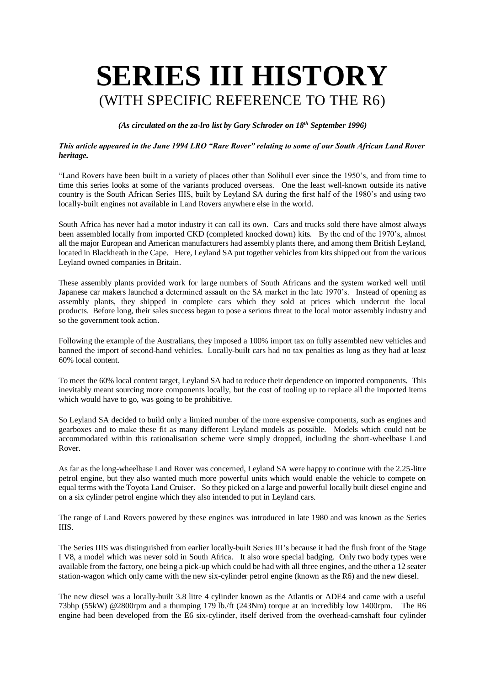## **SERIES III HISTORY** (WITH SPECIFIC REFERENCE TO THE R6)

*(As circulated on the za-lro list by Gary Schroder on 18th September 1996)*

## *This article appeared in the June 1994 LRO "Rare Rover" relating to some of our South African Land Rover heritage.*

"Land Rovers have been built in a variety of places other than Solihull ever since the 1950's, and from time to time this series looks at some of the variants produced overseas. One the least well-known outside its native country is the South African Series IIIS, built by Leyland SA during the first half of the 1980's and using two locally-built engines not available in Land Rovers anywhere else in the world.

South Africa has never had a motor industry it can call its own. Cars and trucks sold there have almost always been assembled locally from imported CKD (completed knocked down) kits. By the end of the 1970's, almost all the major European and American manufacturers had assembly plants there, and among them British Leyland, located in Blackheath in the Cape. Here, Leyland SA put together vehicles from kits shipped out from the various Leyland owned companies in Britain.

These assembly plants provided work for large numbers of South Africans and the system worked well until Japanese car makers launched a determined assault on the SA market in the late 1970's. Instead of opening as assembly plants, they shipped in complete cars which they sold at prices which undercut the local products. Before long, their sales success began to pose a serious threat to the local motor assembly industry and so the government took action.

Following the example of the Australians, they imposed a 100% import tax on fully assembled new vehicles and banned the import of second-hand vehicles. Locally-built cars had no tax penalties as long as they had at least 60% local content.

To meet the 60% local content target, Leyland SA had to reduce their dependence on imported components. This inevitably meant sourcing more components locally, but the cost of tooling up to replace all the imported items which would have to go, was going to be prohibitive.

So Leyland SA decided to build only a limited number of the more expensive components, such as engines and gearboxes and to make these fit as many different Leyland models as possible. Models which could not be accommodated within this rationalisation scheme were simply dropped, including the short-wheelbase Land Rover.

As far as the long-wheelbase Land Rover was concerned, Leyland SA were happy to continue with the 2.25-litre petrol engine, but they also wanted much more powerful units which would enable the vehicle to compete on equal terms with the Toyota Land Cruiser. So they picked on a large and powerful locally built diesel engine and on a six cylinder petrol engine which they also intended to put in Leyland cars.

The range of Land Rovers powered by these engines was introduced in late 1980 and was known as the Series IIIS.

The Series IIIS was distinguished from earlier locally-built Series III's because it had the flush front of the Stage I V8, a model which was never sold in South Africa. It also wore special badging. Only two body types were available from the factory, one being a pick-up which could be had with all three engines, and the other a 12 seater station-wagon which only came with the new six-cylinder petrol engine (known as the R6) and the new diesel.

The new diesel was a locally-built 3.8 litre 4 cylinder known as the Atlantis or ADE4 and came with a useful 73bhp (55kW) @2800rpm and a thumping 179 lb./ft (243Nm) torque at an incredibly low 1400rpm. The R6 engine had been developed from the E6 six-cylinder, itself derived from the overhead-camshaft four cylinder